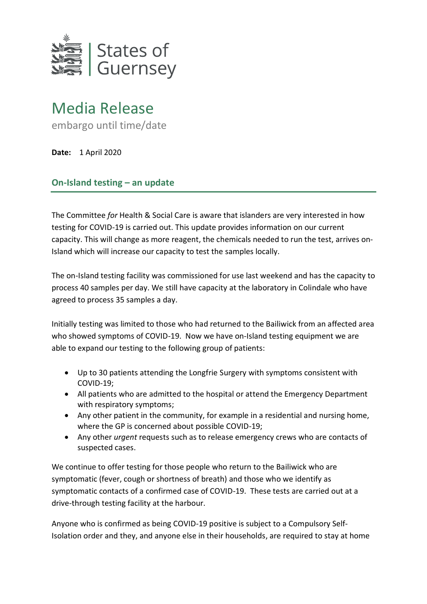

## Media Release

embargo until time/date

**Date:** 1 April 2020

## **On-Island testing – an update**

The Committee *for* Health & Social Care is aware that islanders are very interested in how testing for COVID-19 is carried out. This update provides information on our current capacity. This will change as more reagent, the chemicals needed to run the test, arrives on-Island which will increase our capacity to test the samples locally.

The on-Island testing facility was commissioned for use last weekend and has the capacity to process 40 samples per day. We still have capacity at the laboratory in Colindale who have agreed to process 35 samples a day.

Initially testing was limited to those who had returned to the Bailiwick from an affected area who showed symptoms of COVID-19. Now we have on-Island testing equipment we are able to expand our testing to the following group of patients:

- Up to 30 patients attending the Longfrie Surgery with symptoms consistent with COVID-19;
- All patients who are admitted to the hospital or attend the Emergency Department with respiratory symptoms;
- Any other patient in the community, for example in a residential and nursing home, where the GP is concerned about possible COVID-19;
- Any other *urgent* requests such as to release emergency crews who are contacts of suspected cases.

We continue to offer testing for those people who return to the Bailiwick who are symptomatic (fever, cough or shortness of breath) and those who we identify as symptomatic contacts of a confirmed case of COVID-19. These tests are carried out at a drive-through testing facility at the harbour.

Anyone who is confirmed as being COVID-19 positive is subject to a Compulsory Self-Isolation order and they, and anyone else in their households, are required to stay at home